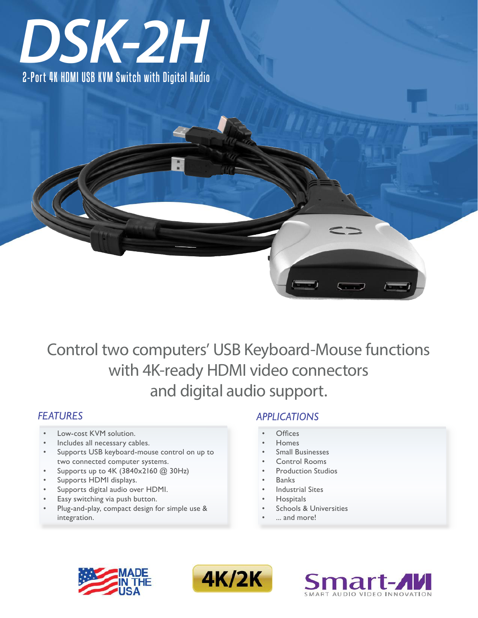

2-Port 4K HDMI USB KVM Switch with Digital Audio

# Control two computers' USB Keyboard-Mouse functions with 4K-ready HDMI video connectors and digital audio support.

# *FEATURES*

- Low-cost KVM solution.
- Includes all necessary cables.
- Supports USB keyboard-mouse control on up to two connected computer systems.
- Supports up to 4K (3840x2160 @ 30Hz)
- Supports HDMI displays.
- Supports digital audio over HDMI.
- Easy switching via push button.
- Plug-and-play, compact design for simple use & integration.

# *APPLICATIONS*

- **Offices**
- **Homes**
- **Small Businesses**
- **Control Rooms**
- **Production Studios**
- **Banks**
- **Industrial Sites**
- **Hospitals**
- Schools & Universities
- ... and more!





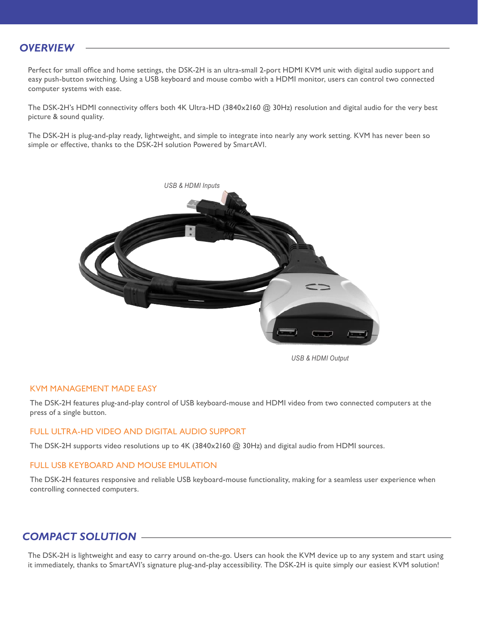### *OVERVIEW*

Perfect for small office and home settings, the DSK-2H is an ultra-small 2-port HDMI KVM unit with digital audio support and easy push-button switching. Using a USB keyboard and mouse combo with a HDMI monitor, users can control two connected computer systems with ease.

The DSK-2H's HDMI connectivity offers both 4K Ultra-HD (3840x2160 @ 30Hz) resolution and digital audio for the very best picture & sound quality.

The DSK-2H is plug-and-play ready, lightweight, and simple to integrate into nearly any work setting. KVM has never been so simple or effective, thanks to the DSK-2H solution Powered by SmartAVI.



*USB & HDMI Output*

#### KVM MANAGEMENT MADE EASY

The DSK-2H features plug-and-play control of USB keyboard-mouse and HDMI video from two connected computers at the press of a single button.

#### FULL ULTRA-HD VIDEO AND DIGITAL AUDIO SUPPORT

The DSK-2H supports video resolutions up to 4K (3840x2160 @ 30Hz) and digital audio from HDMI sources.

#### FULL USB KEYBOARD AND MOUSE EMULATION

The DSK-2H features responsive and reliable USB keyboard-mouse functionality, making for a seamless user experience when controlling connected computers.

### *COMPACT SOLUTION*

The DSK-2H is lightweight and easy to carry around on-the-go. Users can hook the KVM device up to any system and start using it immediately, thanks to SmartAVI's signature plug-and-play accessibility. The DSK-2H is quite simply our easiest KVM solution!